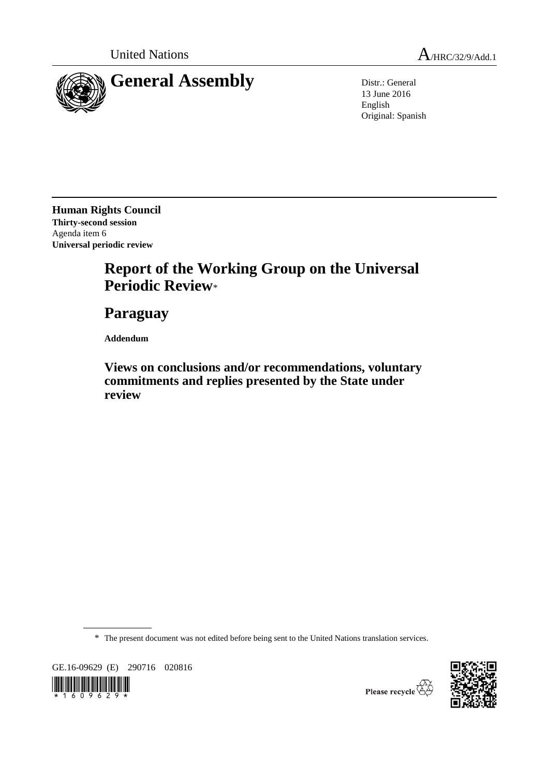

13 June 2016 English Original: Spanish

**Human Rights Council Thirty-second session** Agenda item 6 **Universal periodic review** 

# **Report of the Working Group on the Universal Periodic Review**\*

**Paraguay**

**Addendum**

**Views on conclusions and/or recommendations, voluntary commitments and replies presented by the State under review**

\* The present document was not edited before being sent to the United Nations translation services.

GE.16-09629 (E) 290716 020816





Please recycle  $\overleftrightarrow{C}$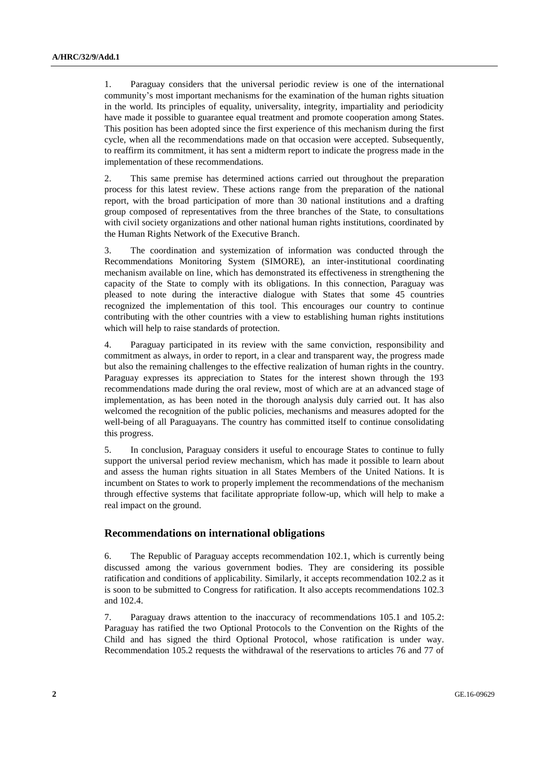1. Paraguay considers that the universal periodic review is one of the international community's most important mechanisms for the examination of the human rights situation in the world. Its principles of equality, universality, integrity, impartiality and periodicity have made it possible to guarantee equal treatment and promote cooperation among States. This position has been adopted since the first experience of this mechanism during the first cycle, when all the recommendations made on that occasion were accepted. Subsequently, to reaffirm its commitment, it has sent a midterm report to indicate the progress made in the implementation of these recommendations.

2. This same premise has determined actions carried out throughout the preparation process for this latest review. These actions range from the preparation of the national report, with the broad participation of more than 30 national institutions and a drafting group composed of representatives from the three branches of the State, to consultations with civil society organizations and other national human rights institutions, coordinated by the Human Rights Network of the Executive Branch.

3. The coordination and systemization of information was conducted through the Recommendations Monitoring System (SIMORE), an inter-institutional coordinating mechanism available on line, which has demonstrated its effectiveness in strengthening the capacity of the State to comply with its obligations. In this connection, Paraguay was pleased to note during the interactive dialogue with States that some 45 countries recognized the implementation of this tool. This encourages our country to continue contributing with the other countries with a view to establishing human rights institutions which will help to raise standards of protection.

4. Paraguay participated in its review with the same conviction, responsibility and commitment as always, in order to report, in a clear and transparent way, the progress made but also the remaining challenges to the effective realization of human rights in the country. Paraguay expresses its appreciation to States for the interest shown through the 193 recommendations made during the oral review, most of which are at an advanced stage of implementation, as has been noted in the thorough analysis duly carried out. It has also welcomed the recognition of the public policies, mechanisms and measures adopted for the well-being of all Paraguayans. The country has committed itself to continue consolidating this progress.

5. In conclusion, Paraguay considers it useful to encourage States to continue to fully support the universal period review mechanism, which has made it possible to learn about and assess the human rights situation in all States Members of the United Nations. It is incumbent on States to work to properly implement the recommendations of the mechanism through effective systems that facilitate appropriate follow-up, which will help to make a real impact on the ground.

## **Recommendations on international obligations**

6. The Republic of Paraguay accepts recommendation 102.1, which is currently being discussed among the various government bodies. They are considering its possible ratification and conditions of applicability. Similarly, it accepts recommendation 102.2 as it is soon to be submitted to Congress for ratification. It also accepts recommendations 102.3 and 102.4.

7. Paraguay draws attention to the inaccuracy of recommendations 105.1 and 105.2: Paraguay has ratified the two Optional Protocols to the Convention on the Rights of the Child and has signed the third Optional Protocol, whose ratification is under way. Recommendation 105.2 requests the withdrawal of the reservations to articles 76 and 77 of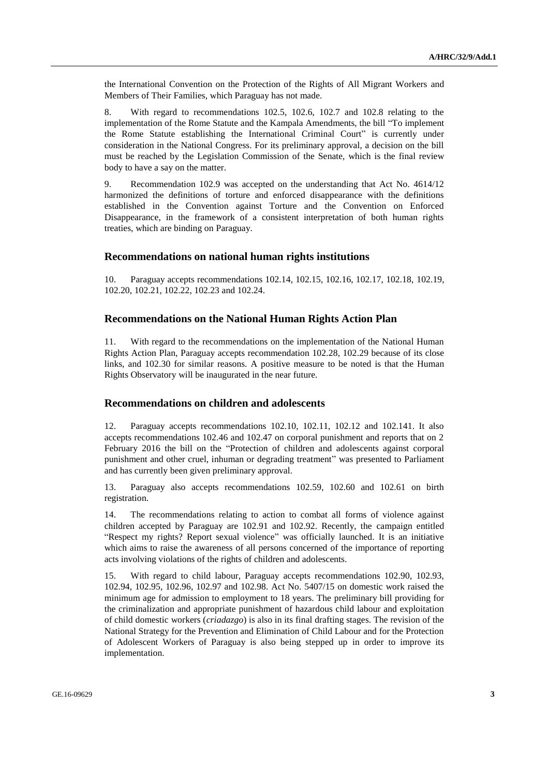the International Convention on the Protection of the Rights of All Migrant Workers and Members of Their Families, which Paraguay has not made.

8. With regard to recommendations 102.5, 102.6, 102.7 and 102.8 relating to the implementation of the Rome Statute and the Kampala Amendments, the bill "To implement the Rome Statute establishing the International Criminal Court" is currently under consideration in the National Congress. For its preliminary approval, a decision on the bill must be reached by the Legislation Commission of the Senate, which is the final review body to have a say on the matter.

9. Recommendation 102.9 was accepted on the understanding that Act No. 4614/12 harmonized the definitions of torture and enforced disappearance with the definitions established in the Convention against Torture and the Convention on Enforced Disappearance, in the framework of a consistent interpretation of both human rights treaties, which are binding on Paraguay.

## **Recommendations on national human rights institutions**

10. Paraguay accepts recommendations 102.14, 102.15, 102.16, 102.17, 102.18, 102.19, 102.20, 102.21, 102.22, 102.23 and 102.24.

# **Recommendations on the National Human Rights Action Plan**

11. With regard to the recommendations on the implementation of the National Human Rights Action Plan, Paraguay accepts recommendation 102.28, 102.29 because of its close links, and 102.30 for similar reasons. A positive measure to be noted is that the Human Rights Observatory will be inaugurated in the near future.

## **Recommendations on children and adolescents**

12. Paraguay accepts recommendations 102.10, 102.11, 102.12 and 102.141. It also accepts recommendations 102.46 and 102.47 on corporal punishment and reports that on 2 February 2016 the bill on the "Protection of children and adolescents against corporal punishment and other cruel, inhuman or degrading treatment" was presented to Parliament and has currently been given preliminary approval.

13. Paraguay also accepts recommendations 102.59, 102.60 and 102.61 on birth registration.

14. The recommendations relating to action to combat all forms of violence against children accepted by Paraguay are 102.91 and 102.92. Recently, the campaign entitled "Respect my rights? Report sexual violence" was officially launched. It is an initiative which aims to raise the awareness of all persons concerned of the importance of reporting acts involving violations of the rights of children and adolescents.

15. With regard to child labour, Paraguay accepts recommendations 102.90, 102.93, 102.94, 102.95, 102.96, 102.97 and 102.98. Act No. 5407/15 on domestic work raised the minimum age for admission to employment to 18 years. The preliminary bill providing for the criminalization and appropriate punishment of hazardous child labour and exploitation of child domestic workers (*criadazgo*) is also in its final drafting stages. The revision of the National Strategy for the Prevention and Elimination of Child Labour and for the Protection of Adolescent Workers of Paraguay is also being stepped up in order to improve its implementation.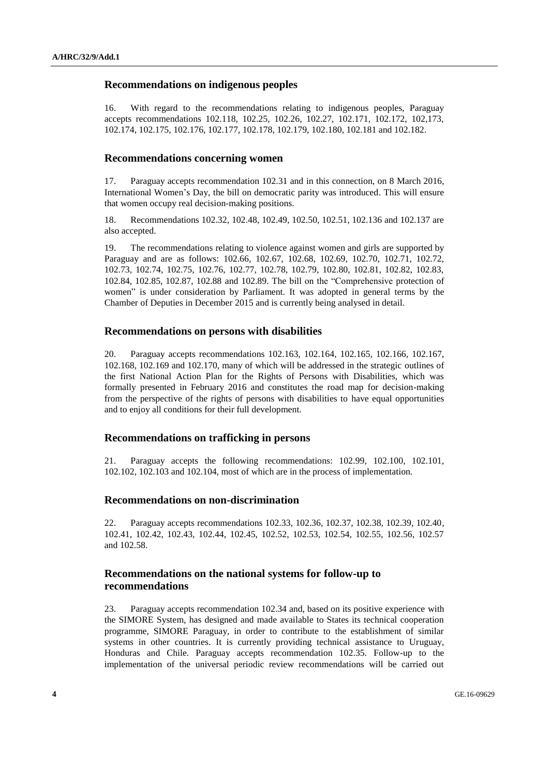## **Recommendations on indigenous peoples**

16. With regard to the recommendations relating to indigenous peoples, Paraguay accepts recommendations 102.118, 102.25, 102.26, 102.27, 102.171, 102.172, 102,173, 102.174, 102.175, 102.176, 102.177, 102.178, 102.179, 102.180, 102.181 and 102.182.

## **Recommendations concerning women**

17. Paraguay accepts recommendation 102.31 and in this connection, on 8 March 2016, International Women's Day, the bill on democratic parity was introduced. This will ensure that women occupy real decision-making positions.

18. Recommendations 102.32, 102.48, 102.49, 102.50, 102.51, 102.136 and 102.137 are also accepted.

19. The recommendations relating to violence against women and girls are supported by Paraguay and are as follows: 102.66, 102.67, 102.68, 102.69, 102.70, 102.71, 102.72, 102.73, 102.74, 102.75, 102.76, 102.77, 102.78, 102.79, 102.80, 102.81, 102.82, 102.83, 102.84, 102.85, 102.87, 102.88 and 102.89. The bill on the "Comprehensive protection of women" is under consideration by Parliament. It was adopted in general terms by the Chamber of Deputies in December 2015 and is currently being analysed in detail.

#### **Recommendations on persons with disabilities**

20. Paraguay accepts recommendations 102.163, 102.164, 102.165, 102.166, 102.167, 102.168, 102.169 and 102.170, many of which will be addressed in the strategic outlines of the first National Action Plan for the Rights of Persons with Disabilities, which was formally presented in February 2016 and constitutes the road map for decision-making from the perspective of the rights of persons with disabilities to have equal opportunities and to enjoy all conditions for their full development.

#### **Recommendations on trafficking in persons**

21. Paraguay accepts the following recommendations: 102.99, 102.100, 102.101, 102.102, 102.103 and 102.104, most of which are in the process of implementation.

## **Recommendations on non-discrimination**

22. Paraguay accepts recommendations 102.33, 102.36, 102.37, 102.38, 102.39, 102.40, 102.41, 102.42, 102.43, 102.44, 102.45, 102.52, 102.53, 102.54, 102.55, 102.56, 102.57 and 102.58.

# **Recommendations on the national systems for follow-up to recommendations**

23. Paraguay accepts recommendation 102.34 and, based on its positive experience with the SIMORE System, has designed and made available to States its technical cooperation programme, SIMORE Paraguay, in order to contribute to the establishment of similar systems in other countries. It is currently providing technical assistance to Uruguay, Honduras and Chile. Paraguay accepts recommendation 102.35. Follow-up to the implementation of the universal periodic review recommendations will be carried out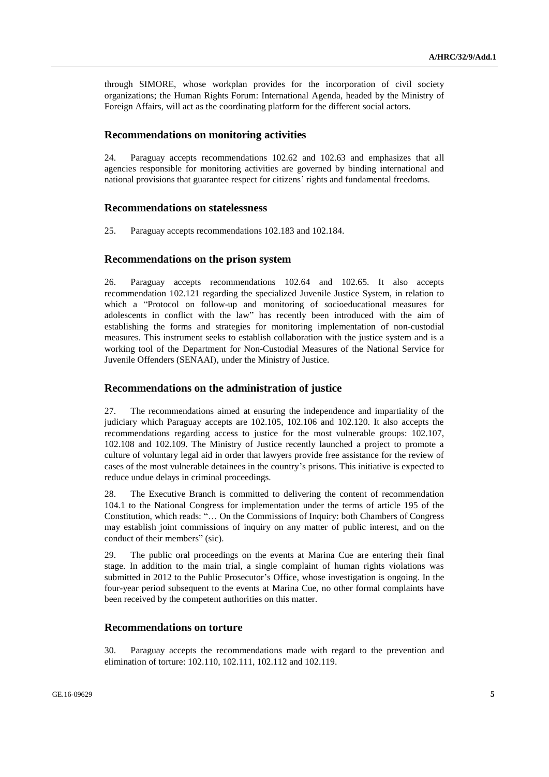through SIMORE, whose workplan provides for the incorporation of civil society organizations; the Human Rights Forum: International Agenda, headed by the Ministry of Foreign Affairs, will act as the coordinating platform for the different social actors.

# **Recommendations on monitoring activities**

24. Paraguay accepts recommendations 102.62 and 102.63 and emphasizes that all agencies responsible for monitoring activities are governed by binding international and national provisions that guarantee respect for citizens' rights and fundamental freedoms.

#### **Recommendations on statelessness**

25. Paraguay accepts recommendations 102.183 and 102.184.

#### **Recommendations on the prison system**

26. Paraguay accepts recommendations 102.64 and 102.65. It also accepts recommendation 102.121 regarding the specialized Juvenile Justice System, in relation to which a "Protocol on follow-up and monitoring of socioeducational measures for adolescents in conflict with the law" has recently been introduced with the aim of establishing the forms and strategies for monitoring implementation of non-custodial measures. This instrument seeks to establish collaboration with the justice system and is a working tool of the Department for Non-Custodial Measures of the National Service for Juvenile Offenders (SENAAI), under the Ministry of Justice.

#### **Recommendations on the administration of justice**

27. The recommendations aimed at ensuring the independence and impartiality of the judiciary which Paraguay accepts are 102.105, 102.106 and 102.120. It also accepts the recommendations regarding access to justice for the most vulnerable groups: 102.107, 102.108 and 102.109. The Ministry of Justice recently launched a project to promote a culture of voluntary legal aid in order that lawyers provide free assistance for the review of cases of the most vulnerable detainees in the country's prisons. This initiative is expected to reduce undue delays in criminal proceedings.

28. The Executive Branch is committed to delivering the content of recommendation 104.1 to the National Congress for implementation under the terms of article 195 of the Constitution, which reads: "… On the Commissions of Inquiry: both Chambers of Congress may establish joint commissions of inquiry on any matter of public interest, and on the conduct of their members" (sic).

29. The public oral proceedings on the events at Marina Cue are entering their final stage. In addition to the main trial, a single complaint of human rights violations was submitted in 2012 to the Public Prosecutor's Office, whose investigation is ongoing. In the four-year period subsequent to the events at Marina Cue, no other formal complaints have been received by the competent authorities on this matter.

## **Recommendations on torture**

30. Paraguay accepts the recommendations made with regard to the prevention and elimination of torture: 102.110, 102.111, 102.112 and 102.119.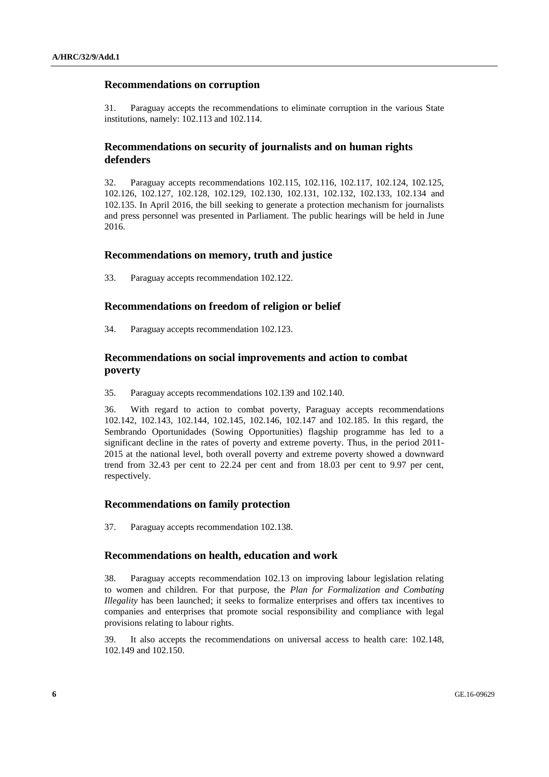## **Recommendations on corruption**

31. Paraguay accepts the recommendations to eliminate corruption in the various State institutions, namely: 102.113 and 102.114.

## **Recommendations on security of journalists and on human rights defenders**

32. Paraguay accepts recommendations 102.115, 102.116, 102.117, 102.124, 102.125, 102.126, 102.127, 102.128, 102.129, 102.130, 102.131, 102.132, 102.133, 102.134 and 102.135. In April 2016, the bill seeking to generate a protection mechanism for journalists and press personnel was presented in Parliament. The public hearings will be held in June 2016.

#### **Recommendations on memory, truth and justice**

33. Paraguay accepts recommendation 102.122.

#### **Recommendations on freedom of religion or belief**

34. Paraguay accepts recommendation 102.123.

# **Recommendations on social improvements and action to combat poverty**

35. Paraguay accepts recommendations 102.139 and 102.140.

36. With regard to action to combat poverty, Paraguay accepts recommendations 102.142, 102.143, 102.144, 102.145, 102.146, 102.147 and 102.185. In this regard, the Sembrando Oportunidades (Sowing Opportunities) flagship programme has led to a significant decline in the rates of poverty and extreme poverty. Thus, in the period 2011- 2015 at the national level, both overall poverty and extreme poverty showed a downward trend from 32.43 per cent to 22.24 per cent and from 18.03 per cent to 9.97 per cent, respectively.

#### **Recommendations on family protection**

37. Paraguay accepts recommendation 102.138.

#### **Recommendations on health, education and work**

38. Paraguay accepts recommendation 102.13 on improving labour legislation relating to women and children. For that purpose, the *Plan for Formalization and Combating Illegality* has been launched; it seeks to formalize enterprises and offers tax incentives to companies and enterprises that promote social responsibility and compliance with legal provisions relating to labour rights.

39. It also accepts the recommendations on universal access to health care: 102.148, 102.149 and 102.150.